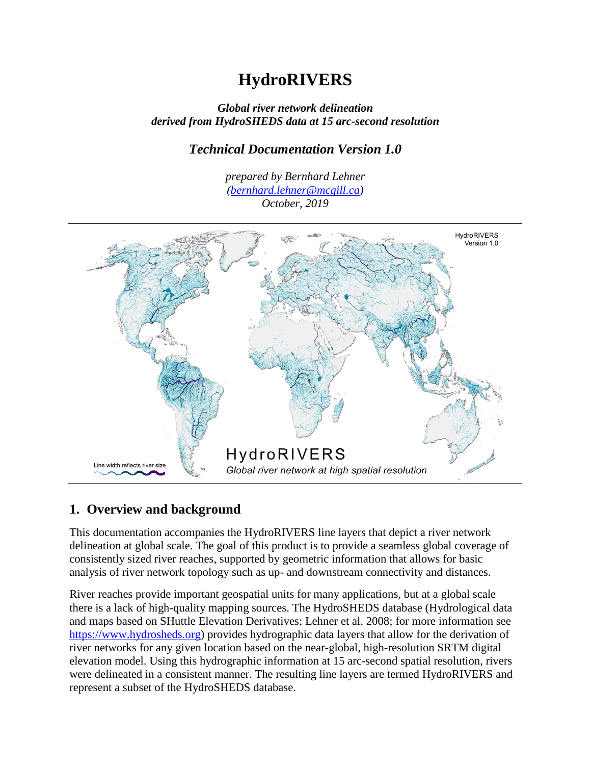# **HydroRIVERS**

#### *Global river network delineation derived from HydroSHEDS data at 15 arc-second resolution*

### *Technical Documentation Version 1.0*

*prepared by Bernhard Lehner [\(bernhard.lehner@mcgill.ca\)](mailto:bernhard.lehner@mcgill.ca) October, 2019*



# **1. Overview and background**

This documentation accompanies the HydroRIVERS line layers that depict a river network delineation at global scale. The goal of this product is to provide a seamless global coverage of consistently sized river reaches, supported by geometric information that allows for basic analysis of river network topology such as up- and downstream connectivity and distances.

River reaches provide important geospatial units for many applications, but at a global scale there is a lack of high-quality mapping sources. The HydroSHEDS database (Hydrological data and maps based on SHuttle Elevation Derivatives; Lehner et al. 2008; for more information see [https://www.hydrosheds.org\)](https://www.hydrosheds.org/) provides hydrographic data layers that allow for the derivation of river networks for any given location based on the near-global, high-resolution SRTM digital elevation model. Using this hydrographic information at 15 arc-second spatial resolution, rivers were delineated in a consistent manner. The resulting line layers are termed HydroRIVERS and represent a subset of the HydroSHEDS database.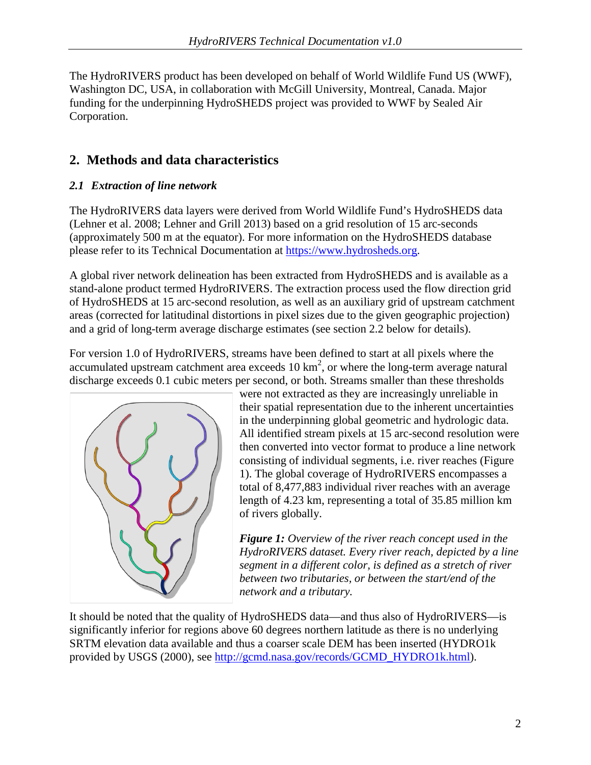The HydroRIVERS product has been developed on behalf of World Wildlife Fund US (WWF), Washington DC, USA, in collaboration with McGill University, Montreal, Canada. Major funding for the underpinning HydroSHEDS project was provided to WWF by Sealed Air Corporation.

# **2. Methods and data characteristics**

### *2.1 Extraction of line network*

The HydroRIVERS data layers were derived from World Wildlife Fund's HydroSHEDS data (Lehner et al. 2008; Lehner and Grill 2013) based on a grid resolution of 15 arc-seconds (approximately 500 m at the equator). For more information on the HydroSHEDS database please refer to its Technical Documentation at [https://www.hydrosheds.org.](https://www.hydrosheds.org/)

A global river network delineation has been extracted from HydroSHEDS and is available as a stand-alone product termed HydroRIVERS. The extraction process used the flow direction grid of HydroSHEDS at 15 arc-second resolution, as well as an auxiliary grid of upstream catchment areas (corrected for latitudinal distortions in pixel sizes due to the given geographic projection) and a grid of long-term average discharge estimates (see section 2.2 below for details).

For version 1.0 of HydroRIVERS, streams have been defined to start at all pixels where the accumulated upstream catchment area exceeds  $10 \text{ km}^2$ , or where the long-term average natural discharge exceeds 0.1 cubic meters per second, or both. Streams smaller than these thresholds



were not extracted as they are increasingly unreliable in their spatial representation due to the inherent uncertainties in the underpinning global geometric and hydrologic data. All identified stream pixels at 15 arc-second resolution were then converted into vector format to produce a line network consisting of individual segments, i.e. river reaches (Figure 1). The global coverage of HydroRIVERS encompasses a total of 8,477,883 individual river reaches with an average length of 4.23 km, representing a total of 35.85 million km of rivers globally.

*Figure 1: Overview of the river reach concept used in the HydroRIVERS dataset. Every river reach, depicted by a line segment in a different color, is defined as a stretch of river between two tributaries, or between the start/end of the network and a tributary.*

It should be noted that the quality of HydroSHEDS data—and thus also of HydroRIVERS—is significantly inferior for regions above 60 degrees northern latitude as there is no underlying SRTM elevation data available and thus a coarser scale DEM has been inserted (HYDRO1k provided by USGS (2000), see [http://gcmd.nasa.gov/records/GCMD\\_HYDRO1k.html\)](http://gcmd.nasa.gov/records/GCMD_HYDRO1k.html).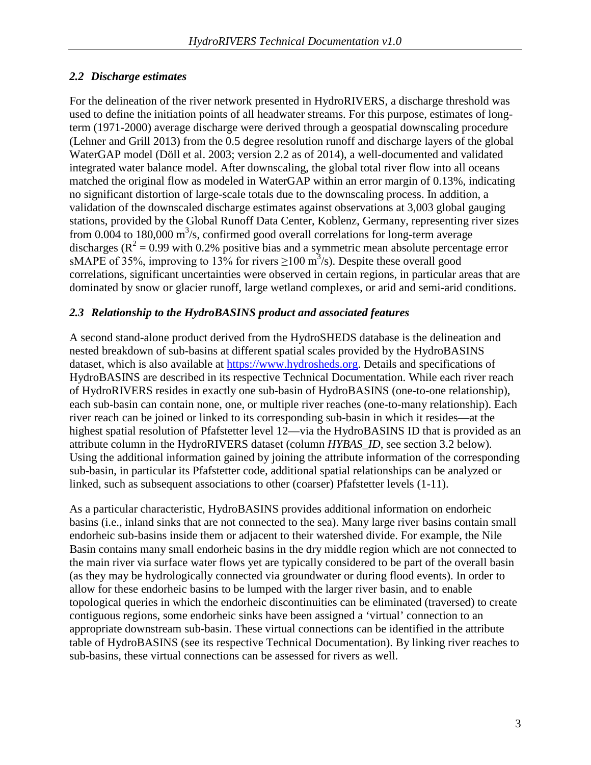### *2.2 Discharge estimates*

For the delineation of the river network presented in HydroRIVERS, a discharge threshold was used to define the initiation points of all headwater streams. For this purpose, estimates of longterm (1971-2000) average discharge were derived through a geospatial downscaling procedure (Lehner and Grill 2013) from the 0.5 degree resolution runoff and discharge layers of the global WaterGAP model (Döll et al. 2003; version 2.2 as of 2014), a well-documented and validated integrated water balance model. After downscaling, the global total river flow into all oceans matched the original flow as modeled in WaterGAP within an error margin of 0.13%, indicating no significant distortion of large-scale totals due to the downscaling process. In addition, a validation of the downscaled discharge estimates against observations at 3,003 global gauging stations, provided by the Global Runoff Data Center, Koblenz, Germany, representing river sizes from 0.004 to 180,000  $\text{m}^3$ /s, confirmed good overall correlations for long-term average discharges ( $R^2 = 0.99$  with 0.2% positive bias and a symmetric mean absolute percentage error sMAPE of 35%, improving to 13% for rivers  $\geq$ 100 m<sup>3</sup>/s). Despite these overall good correlations, significant uncertainties were observed in certain regions, in particular areas that are dominated by snow or glacier runoff, large wetland complexes, or arid and semi-arid conditions.

#### *2.3 Relationship to the HydroBASINS product and associated features*

A second stand-alone product derived from the HydroSHEDS database is the delineation and nested breakdown of sub-basins at different spatial scales provided by the HydroBASINS dataset, which is also available at [https://www.hydrosheds.org.](https://www.hydrosheds.org/) Details and specifications of HydroBASINS are described in its respective Technical Documentation. While each river reach of HydroRIVERS resides in exactly one sub-basin of HydroBASINS (one-to-one relationship), each sub-basin can contain none, one, or multiple river reaches (one-to-many relationship). Each river reach can be joined or linked to its corresponding sub-basin in which it resides—at the highest spatial resolution of Pfafstetter level 12—via the HydroBASINS ID that is provided as an attribute column in the HydroRIVERS dataset (column *HYBAS\_ID*, see section 3.2 below). Using the additional information gained by joining the attribute information of the corresponding sub-basin, in particular its Pfafstetter code, additional spatial relationships can be analyzed or linked, such as subsequent associations to other (coarser) Pfafstetter levels (1-11).

As a particular characteristic, HydroBASINS provides additional information on endorheic basins (i.e., inland sinks that are not connected to the sea). Many large river basins contain small endorheic sub-basins inside them or adjacent to their watershed divide. For example, the Nile Basin contains many small endorheic basins in the dry middle region which are not connected to the main river via surface water flows yet are typically considered to be part of the overall basin (as they may be hydrologically connected via groundwater or during flood events). In order to allow for these endorheic basins to be lumped with the larger river basin, and to enable topological queries in which the endorheic discontinuities can be eliminated (traversed) to create contiguous regions, some endorheic sinks have been assigned a 'virtual' connection to an appropriate downstream sub-basin. These virtual connections can be identified in the attribute table of HydroBASINS (see its respective Technical Documentation). By linking river reaches to sub-basins, these virtual connections can be assessed for rivers as well.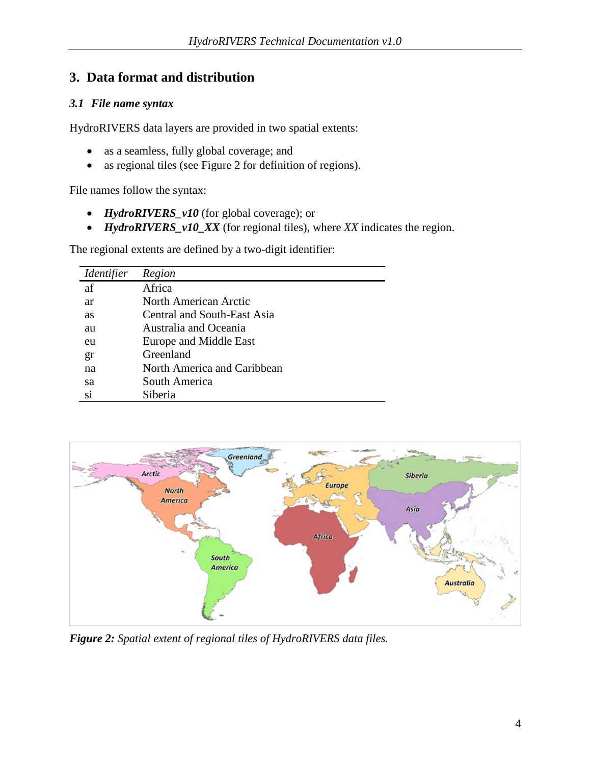# **3. Data format and distribution**

#### *3.1 File name syntax*

HydroRIVERS data layers are provided in two spatial extents:

- as a seamless, fully global coverage; and
- as regional tiles (see Figure 2 for definition of regions).

File names follow the syntax:

- *HydroRIVERS\_v10* (for global coverage); or
- *HydroRIVERS\_v10\_XX* (for regional tiles), where *XX* indicates the region.

The regional extents are defined by a two-digit identifier:

| <i><u><b>Identifier</b></u></i> | Region                      |
|---------------------------------|-----------------------------|
| af                              | Africa                      |
| ar                              | North American Arctic       |
| as                              | Central and South-East Asia |
| au                              | Australia and Oceania       |
| eu                              | Europe and Middle East      |
| gr                              | Greenland                   |
| na                              | North America and Caribbean |
| sa                              | South America               |
| si                              | Siberia                     |



*Figure 2: Spatial extent of regional tiles of HydroRIVERS data files.*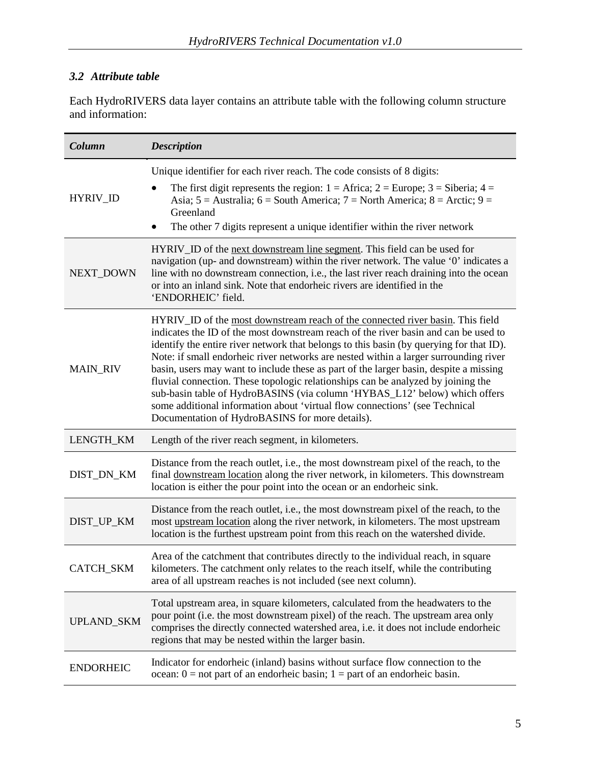## *3.2 Attribute table*

Each HydroRIVERS data layer contains an attribute table with the following column structure and information:

| Column            | <b>Description</b>                                                                                                                                                                                                                                                                                                                                                                                                                                                                                                                                                                                                                                                                                                                                    |
|-------------------|-------------------------------------------------------------------------------------------------------------------------------------------------------------------------------------------------------------------------------------------------------------------------------------------------------------------------------------------------------------------------------------------------------------------------------------------------------------------------------------------------------------------------------------------------------------------------------------------------------------------------------------------------------------------------------------------------------------------------------------------------------|
| HYRIV_ID          | Unique identifier for each river reach. The code consists of 8 digits:<br>The first digit represents the region: $1 =$ Africa; $2 =$ Europe; $3 =$ Siberia; $4 =$<br>Asia; $5 =$ Australia; $6 =$ South America; $7 =$ North America; $8 =$ Arctic; $9 =$<br>Greenland<br>The other 7 digits represent a unique identifier within the river network                                                                                                                                                                                                                                                                                                                                                                                                   |
| <b>NEXT DOWN</b>  | HYRIV_ID of the next downstream line segment. This field can be used for<br>navigation (up- and downstream) within the river network. The value '0' indicates a<br>line with no downstream connection, i.e., the last river reach draining into the ocean<br>or into an inland sink. Note that endorheic rivers are identified in the<br>'ENDORHEIC' field.                                                                                                                                                                                                                                                                                                                                                                                           |
| <b>MAIN_RIV</b>   | HYRIV_ID of the most downstream reach of the connected river basin. This field<br>indicates the ID of the most downstream reach of the river basin and can be used to<br>identify the entire river network that belongs to this basin (by querying for that ID).<br>Note: if small endorheic river networks are nested within a larger surrounding river<br>basin, users may want to include these as part of the larger basin, despite a missing<br>fluvial connection. These topologic relationships can be analyzed by joining the<br>sub-basin table of HydroBASINS (via column 'HYBAS_L12' below) which offers<br>some additional information about 'virtual flow connections' (see Technical<br>Documentation of HydroBASINS for more details). |
| LENGTH_KM         | Length of the river reach segment, in kilometers.                                                                                                                                                                                                                                                                                                                                                                                                                                                                                                                                                                                                                                                                                                     |
| DIST_DN_KM        | Distance from the reach outlet, i.e., the most downstream pixel of the reach, to the<br>final downstream location along the river network, in kilometers. This downstream<br>location is either the pour point into the ocean or an endorheic sink.                                                                                                                                                                                                                                                                                                                                                                                                                                                                                                   |
| DIST_UP_KM        | Distance from the reach outlet, i.e., the most downstream pixel of the reach, to the<br>most upstream location along the river network, in kilometers. The most upstream<br>location is the furthest upstream point from this reach on the watershed divide.                                                                                                                                                                                                                                                                                                                                                                                                                                                                                          |
| CATCH_SKM         | Area of the catchment that contributes directly to the individual reach, in square<br>kilometers. The catchment only relates to the reach itself, while the contributing<br>area of all upstream reaches is not included (see next column).                                                                                                                                                                                                                                                                                                                                                                                                                                                                                                           |
| <b>UPLAND_SKM</b> | Total upstream area, in square kilometers, calculated from the headwaters to the<br>pour point (i.e. the most downstream pixel) of the reach. The upstream area only<br>comprises the directly connected watershed area, i.e. it does not include endorheic<br>regions that may be nested within the larger basin.                                                                                                                                                                                                                                                                                                                                                                                                                                    |
| <b>ENDORHEIC</b>  | Indicator for endorheic (inland) basins without surface flow connection to the<br>ocean: $0 =$ not part of an endorheic basin; $1 =$ part of an endorheic basin.                                                                                                                                                                                                                                                                                                                                                                                                                                                                                                                                                                                      |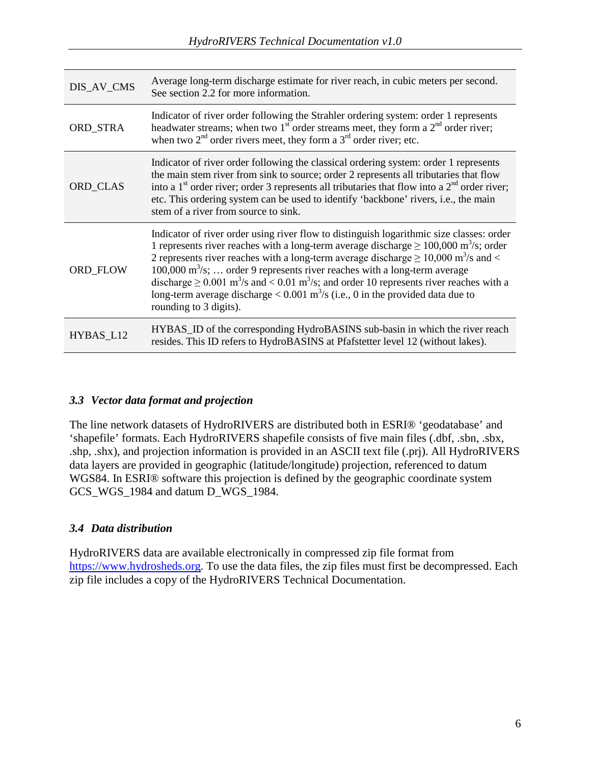| DIS_AV_CMS      | Average long-term discharge estimate for river reach, in cubic meters per second.<br>See section 2.2 for more information.                                                                                                                                                                                                                                                                                                                                                                                                                                                                                                                         |
|-----------------|----------------------------------------------------------------------------------------------------------------------------------------------------------------------------------------------------------------------------------------------------------------------------------------------------------------------------------------------------------------------------------------------------------------------------------------------------------------------------------------------------------------------------------------------------------------------------------------------------------------------------------------------------|
| ORD_STRA        | Indicator of river order following the Strahler ordering system: order 1 represents<br>headwater streams; when two $1st$ order streams meet, they form a $2nd$ order river;<br>when two $2nd$ order rivers meet, they form a $3rd$ order river; etc.                                                                                                                                                                                                                                                                                                                                                                                               |
| ORD CLAS        | Indicator of river order following the classical ordering system: order 1 represents<br>the main stem river from sink to source; order 2 represents all tributaries that flow<br>into a $1st$ order river; order 3 represents all tributaries that flow into a $2nd$ order river;<br>etc. This ordering system can be used to identify 'backbone' rivers, i.e., the main<br>stem of a river from source to sink.                                                                                                                                                                                                                                   |
| <b>ORD FLOW</b> | Indicator of river order using river flow to distinguish logarithmic size classes: order<br>1 represents river reaches with a long-term average discharge $\geq 100,000$ m <sup>3</sup> /s; order<br>2 represents river reaches with a long-term average discharge $\geq$ 10,000 m <sup>3</sup> /s and <<br>100,000 m <sup>3</sup> /s;  order 9 represents river reaches with a long-term average<br>discharge $\geq$ 0.001 m <sup>3</sup> /s and < 0.01 m <sup>3</sup> /s; and order 10 represents river reaches with a<br>long-term average discharge $< 0.001$ m <sup>3</sup> /s (i.e., 0 in the provided data due to<br>rounding to 3 digits). |
| HYBAS_L12       | HYBAS_ID of the corresponding HydroBASINS sub-basin in which the river reach<br>resides. This ID refers to HydroBASINS at Pfafstetter level 12 (without lakes).                                                                                                                                                                                                                                                                                                                                                                                                                                                                                    |

#### *3.3 Vector data format and projection*

The line network datasets of HydroRIVERS are distributed both in ESRI® 'geodatabase' and 'shapefile' formats. Each HydroRIVERS shapefile consists of five main files (.dbf, .sbn, .sbx, .shp, .shx), and projection information is provided in an ASCII text file (.prj). All HydroRIVERS data layers are provided in geographic (latitude/longitude) projection, referenced to datum WGS84. In ESRI® software this projection is defined by the geographic coordinate system GCS WGS 1984 and datum D\_WGS 1984.

#### *3.4 Data distribution*

HydroRIVERS data are available electronically in compressed zip file format from [https://www.hydrosheds.org.](https://www.hydrosheds.org/) To use the data files, the zip files must first be decompressed. Each zip file includes a copy of the HydroRIVERS Technical Documentation.